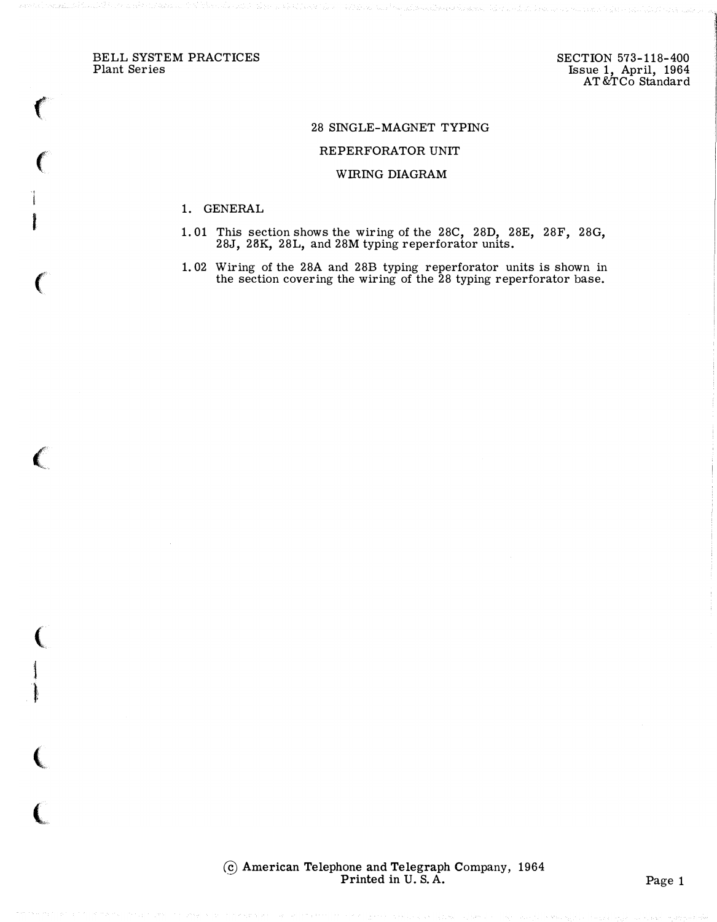BELL SYSTEM PRACTICES Plant Series

 $\big($ 

 $\big($ 

l

I

 $\big($ 

 $\big($ 

(

i

t:

 $\big($ 

 $\big($ 

## 28 SINGLE-MAGNET TYPING

## REPERFORATOR UNIT

## WIRING DIAGRAM

- 1. GENERAL
- 1. 01 This section shows the wiring of the 28C, 28D, 28E, 28F, 28G, 28J, 28K, 28L, and 28M typing reperforator units.
- 1. 02 Wiring of the 28A and 28B typing reperforator units is shown in the section covering the wiring of the 28 typing reperforator base.